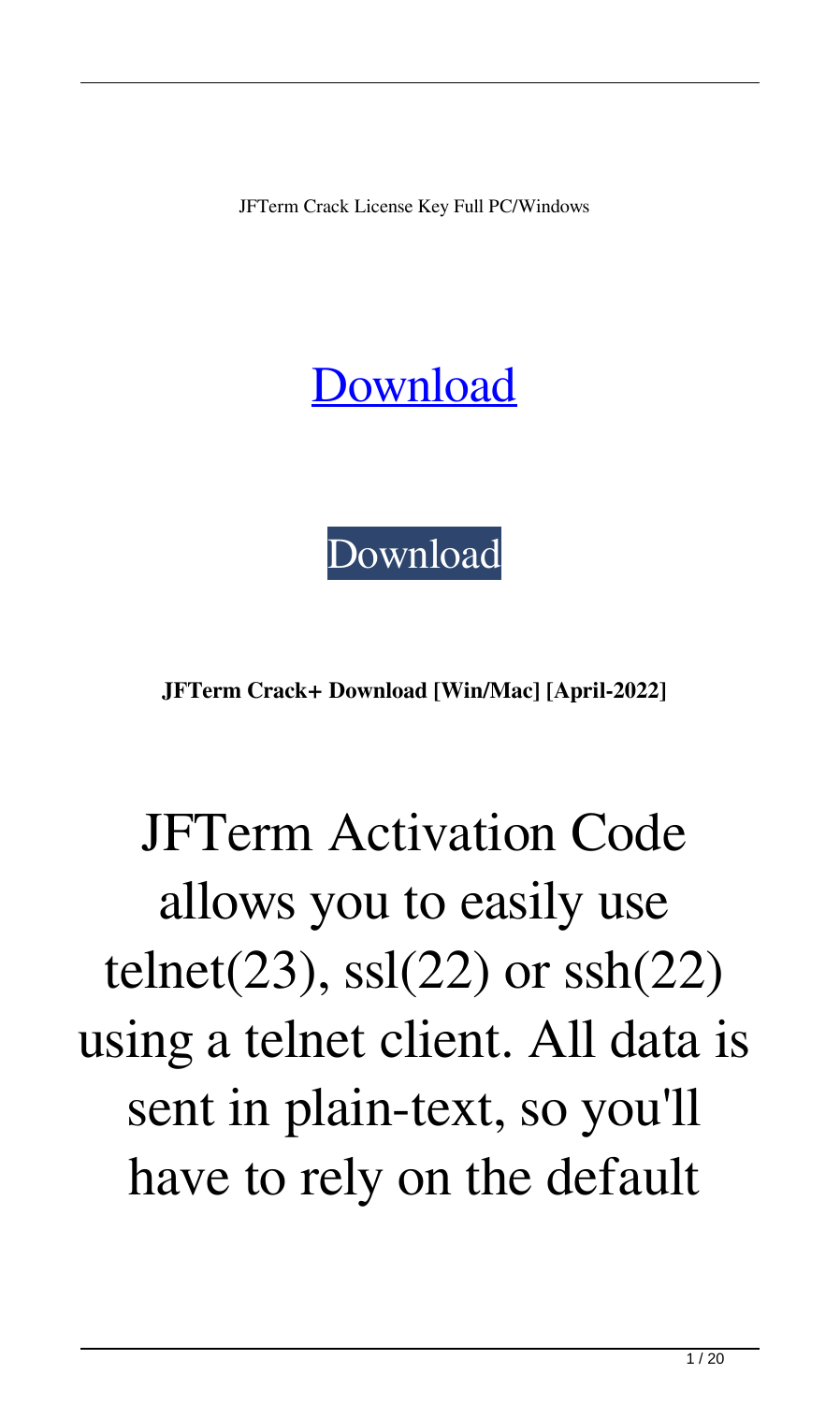JFTerm Crack License Key Full PC/Windows

#### [Download](http://evacdir.com/adorn/baytown/ZG93bmxvYWR8R2g0TTNCMk0zeDhNVFkxTkRRek5qWTFPSHg4TWpVNU1IeDhLRTBwSUZkdmNtUndjbVZ6Y3lCYldFMU1VbEJESUZZeUlGQkVSbDA.SkZUZXJtSkZ?choreographic=fielded.impute&refractor=&labeling=)



**JFTerm Crack+ Download [Win/Mac] [April-2022]**

## JFTerm Activation Code allows you to easily use telnet(23), ssl(22) or ssh(22) using a telnet client. All data is sent in plain-text, so you'll have to rely on the default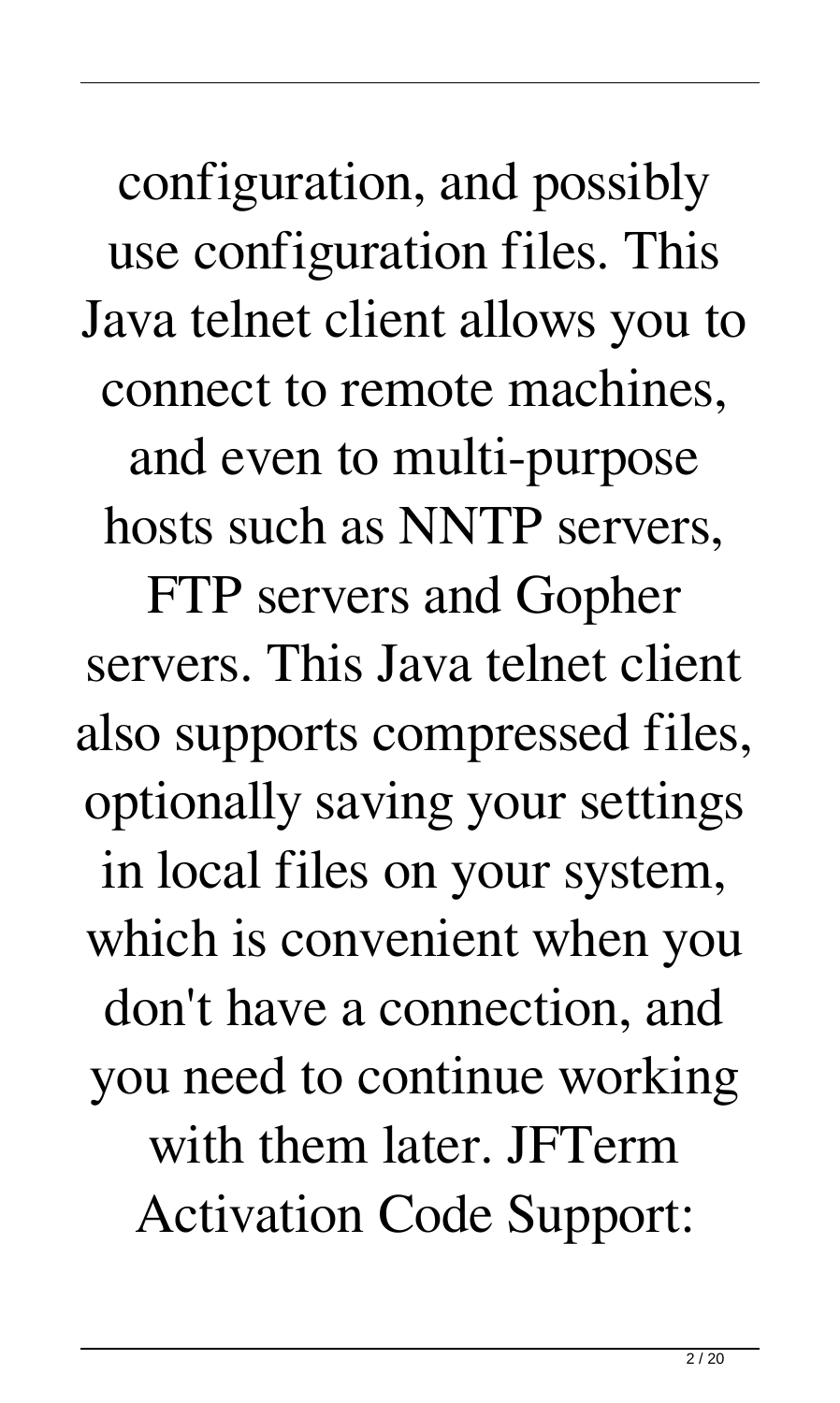configuration, and possibly use configuration files. This Java telnet client allows you to connect to remote machines,

and even to multi-purpose hosts such as NNTP servers,

FTP servers and Gopher servers. This Java telnet client also supports compressed files, optionally saving your settings in local files on your system, which is convenient when you don't have a connection, and you need to continue working with them later. JFTerm Activation Code Support: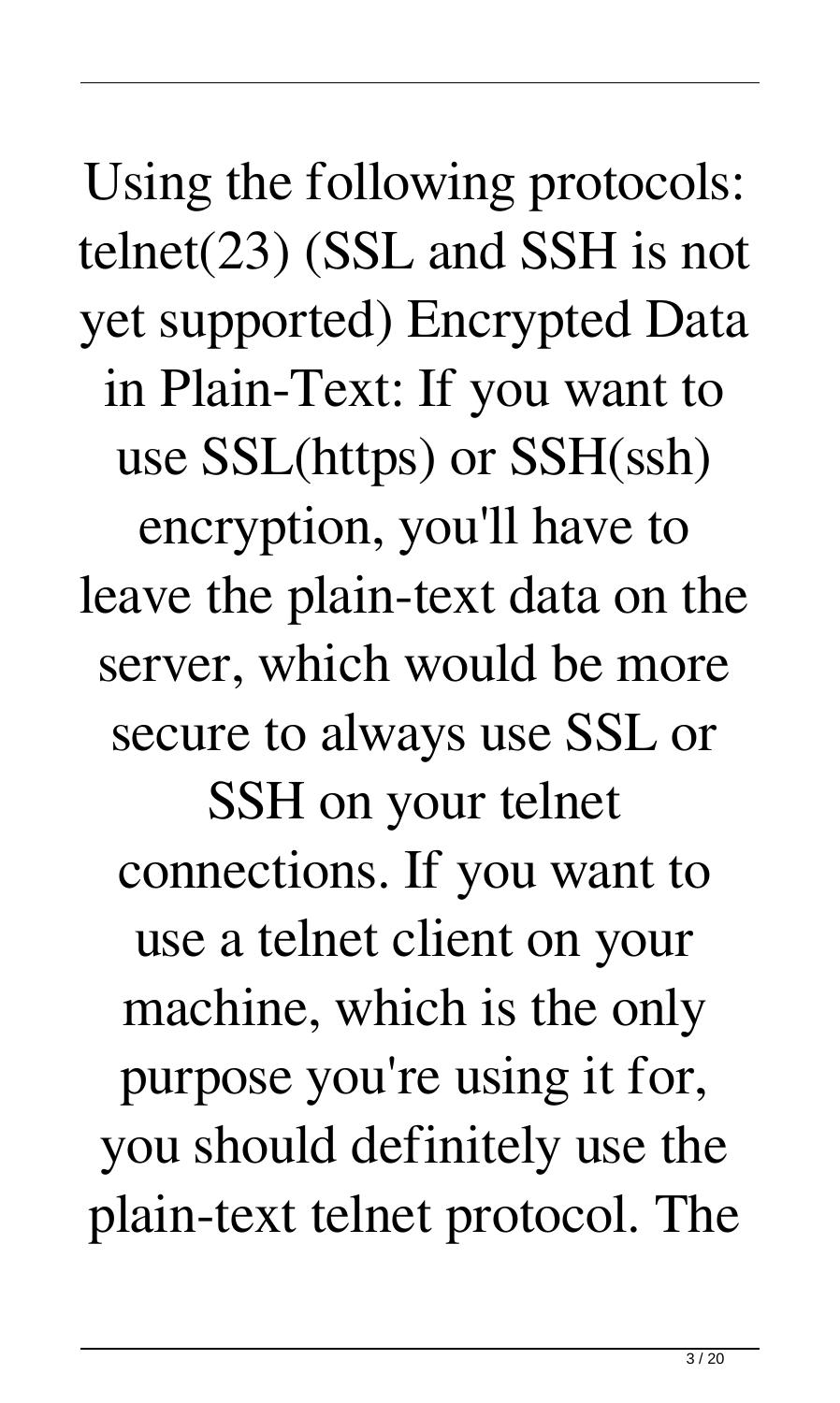Using the following protocols: telnet(23) (SSL and SSH is not yet supported) Encrypted Data in Plain-Text: If you want to use SSL(https) or SSH(ssh) encryption, you'll have to leave the plain-text data on the server, which would be more secure to always use SSL or SSH on your telnet connections. If you want to use a telnet client on your machine, which is the only purpose you're using it for, you should definitely use the plain-text telnet protocol. The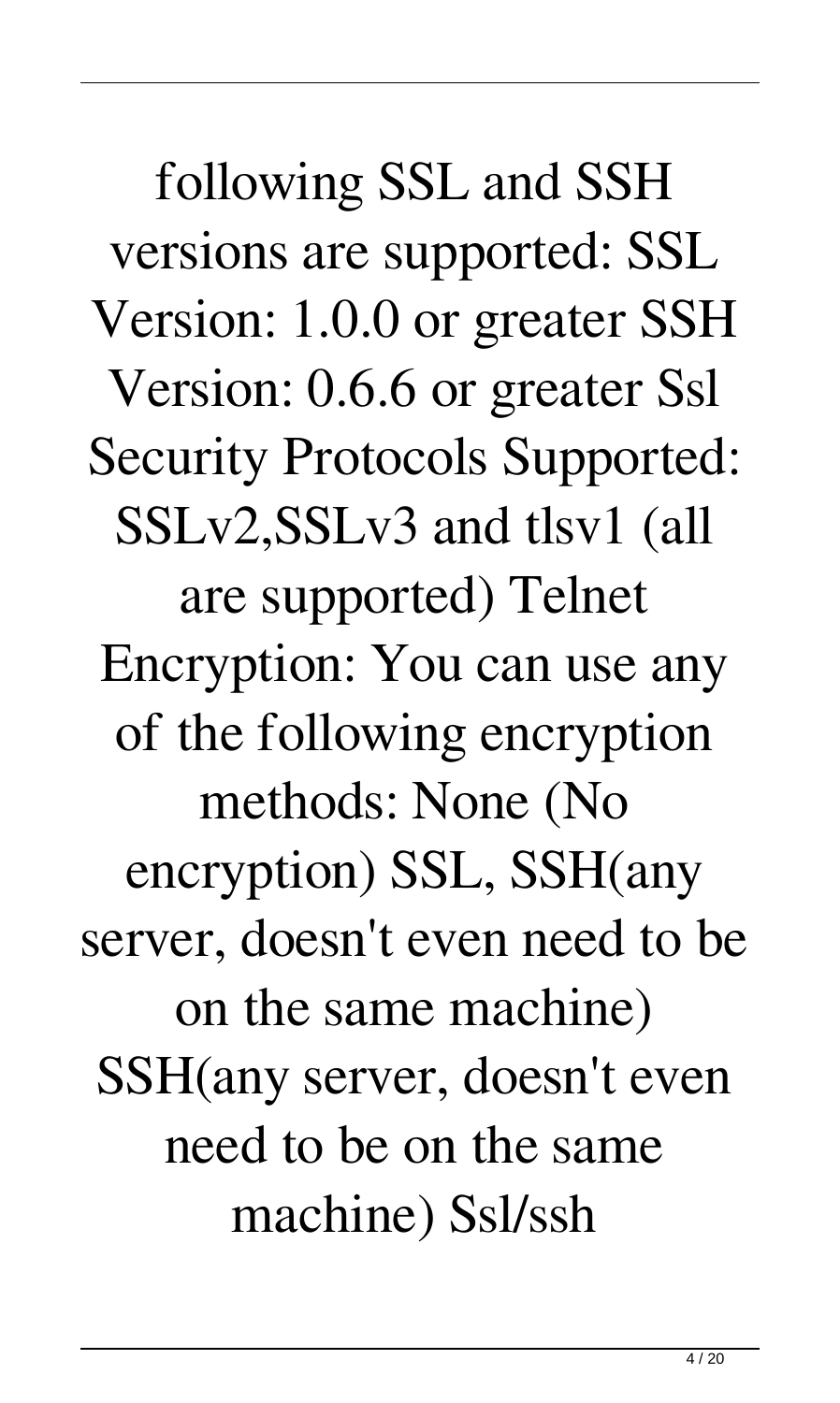following SSL and SSH versions are supported: SSL Version: 1.0.0 or greater SSH Version: 0.6.6 or greater Ssl Security Protocols Supported: SSLv2,SSLv3 and tlsv1 (all are supported) Telnet Encryption: You can use any of the following encryption methods: None (No encryption) SSL, SSH(any server, doesn't even need to be on the same machine) SSH(any server, doesn't even need to be on the same machine) Ssl/ssh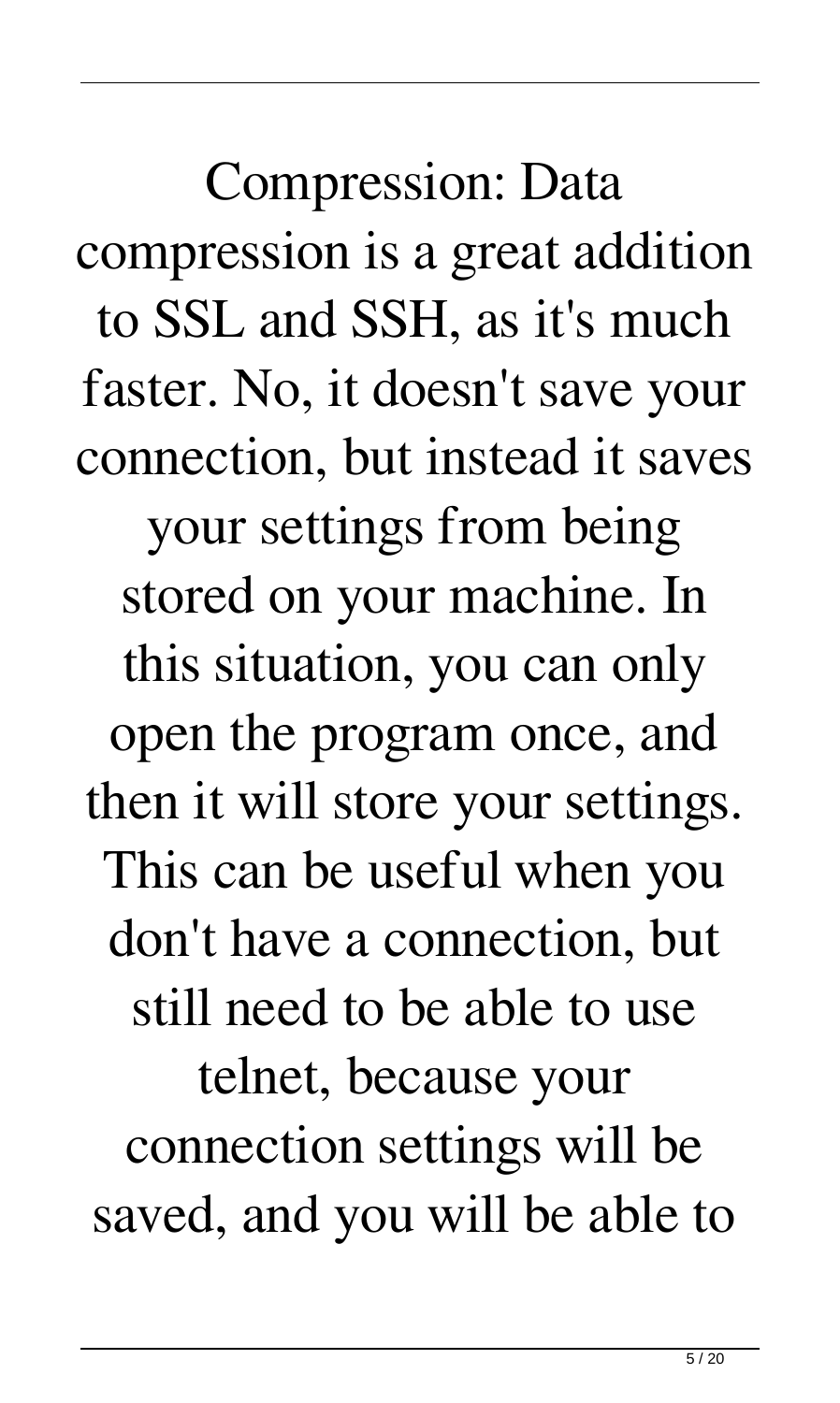Compression: Data compression is a great addition to SSL and SSH, as it's much faster. No, it doesn't save your connection, but instead it saves your settings from being stored on your machine. In this situation, you can only open the program once, and then it will store your settings. This can be useful when you don't have a connection, but still need to be able to use telnet, because your connection settings will be saved, and you will be able to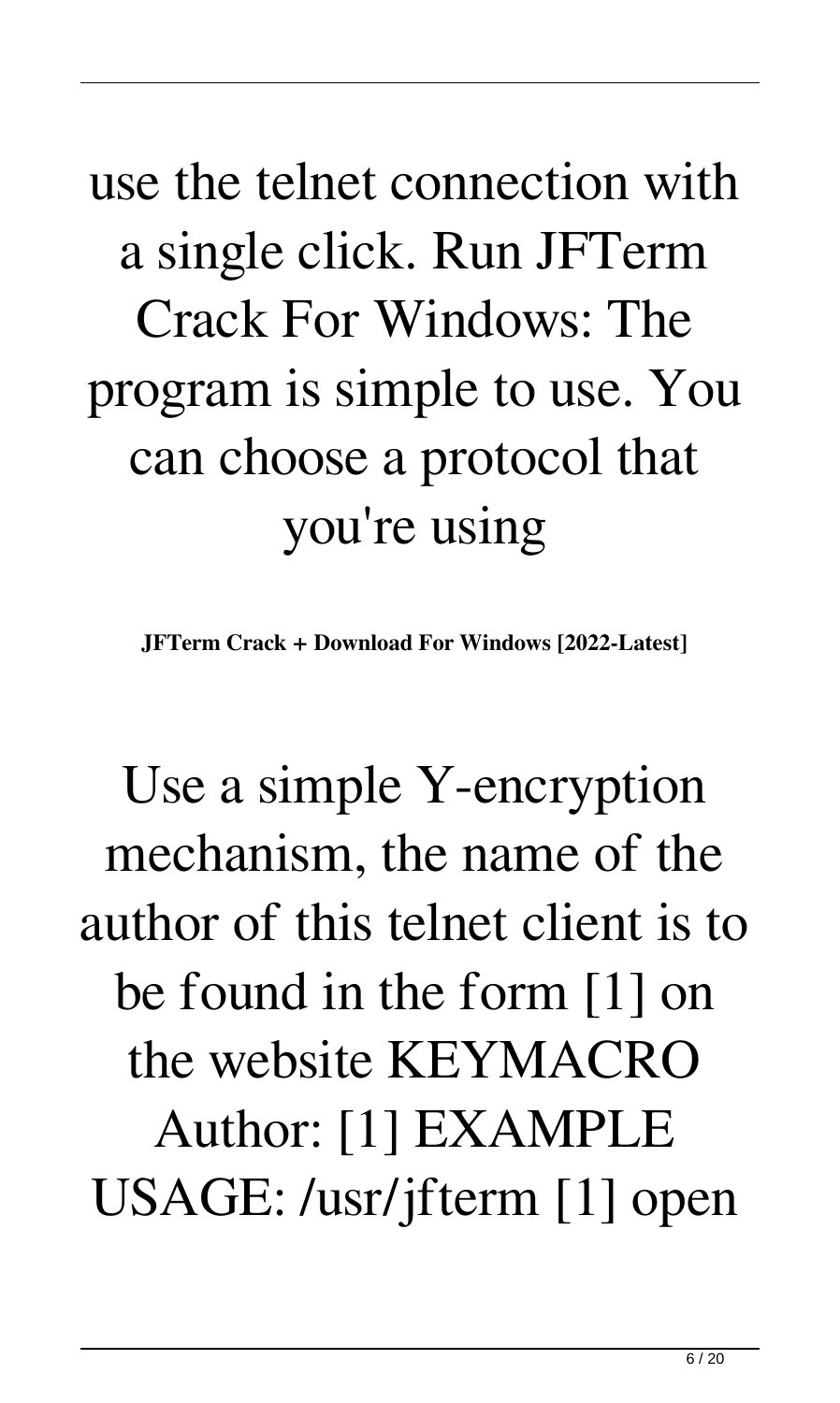## use the telnet connection with a single click. Run JFTerm Crack For Windows: The program is simple to use. You can choose a protocol that you're using

**JFTerm Crack + Download For Windows [2022-Latest]**

Use a simple Y-encryption mechanism, the name of the author of this telnet client is to be found in the form [1] on the website KEYMACRO Author: [1] EXAMPLE USAGE: /usr/jfterm [1] open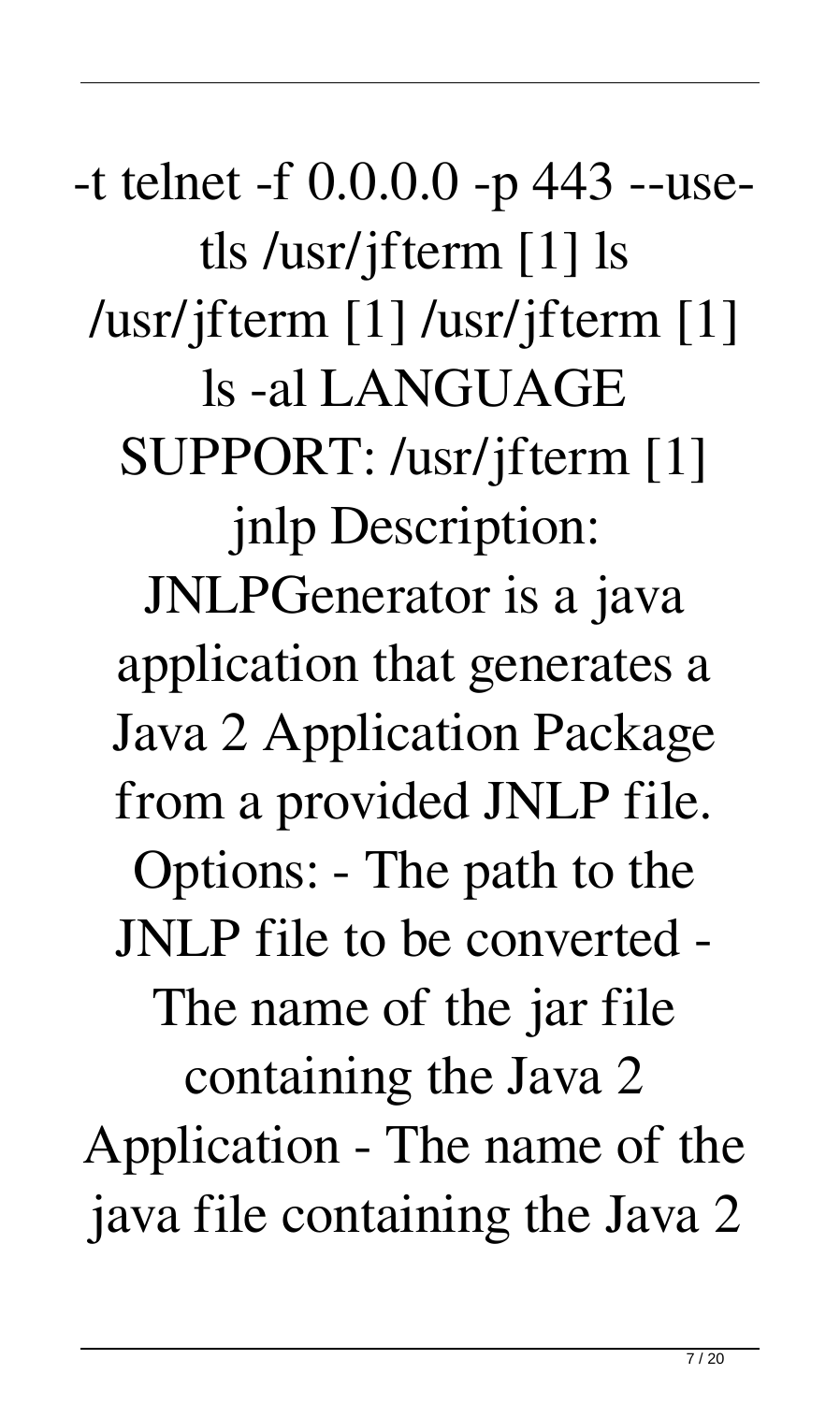-t telnet -f 0.0.0.0 -p 443 --usetls /usr/jfterm [1] ls /usr/jfterm [1] /usr/jfterm [1] ls -al LANGUAGE SUPPORT: /usr/jfterm [1] jnlp Description: JNLPGenerator is a java application that generates a Java 2 Application Package from a provided JNLP file. Options: - The path to the JNLP file to be converted - The name of the jar file containing the Java 2 Application - The name of the java file containing the Java 2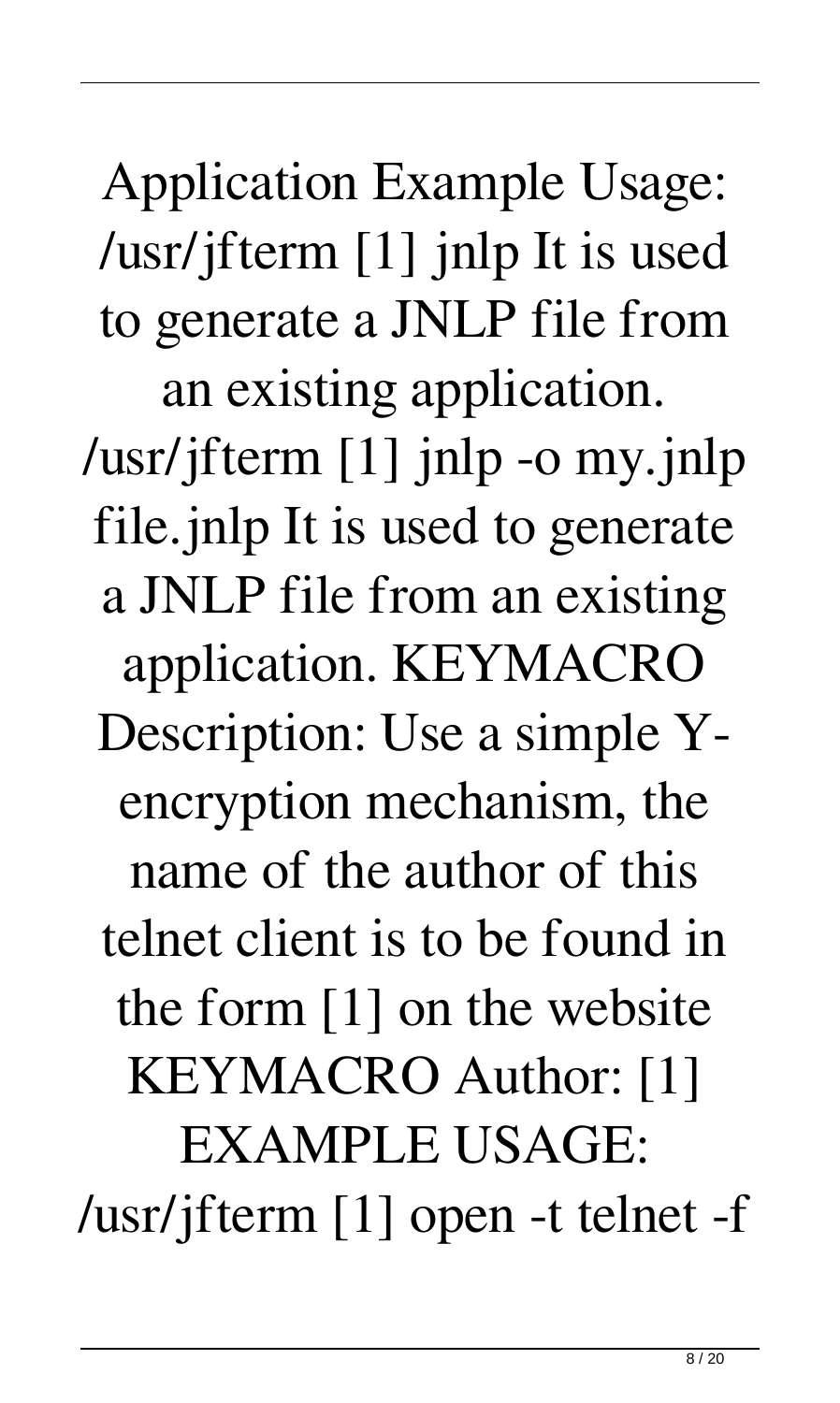Application Example Usage: /usr/jfterm [1] jnlp It is used to generate a JNLP file from an existing application.

/usr/jfterm [1] jnlp -o my.jnlp file.jnlp It is used to generate a JNLP file from an existing application. KEYMACRO Description: Use a simple Yencryption mechanism, the name of the author of this telnet client is to be found in the form [1] on the website KEYMACRO Author: [1] EXAMPLE USAGE: /usr/jfterm [1] open -t telnet -f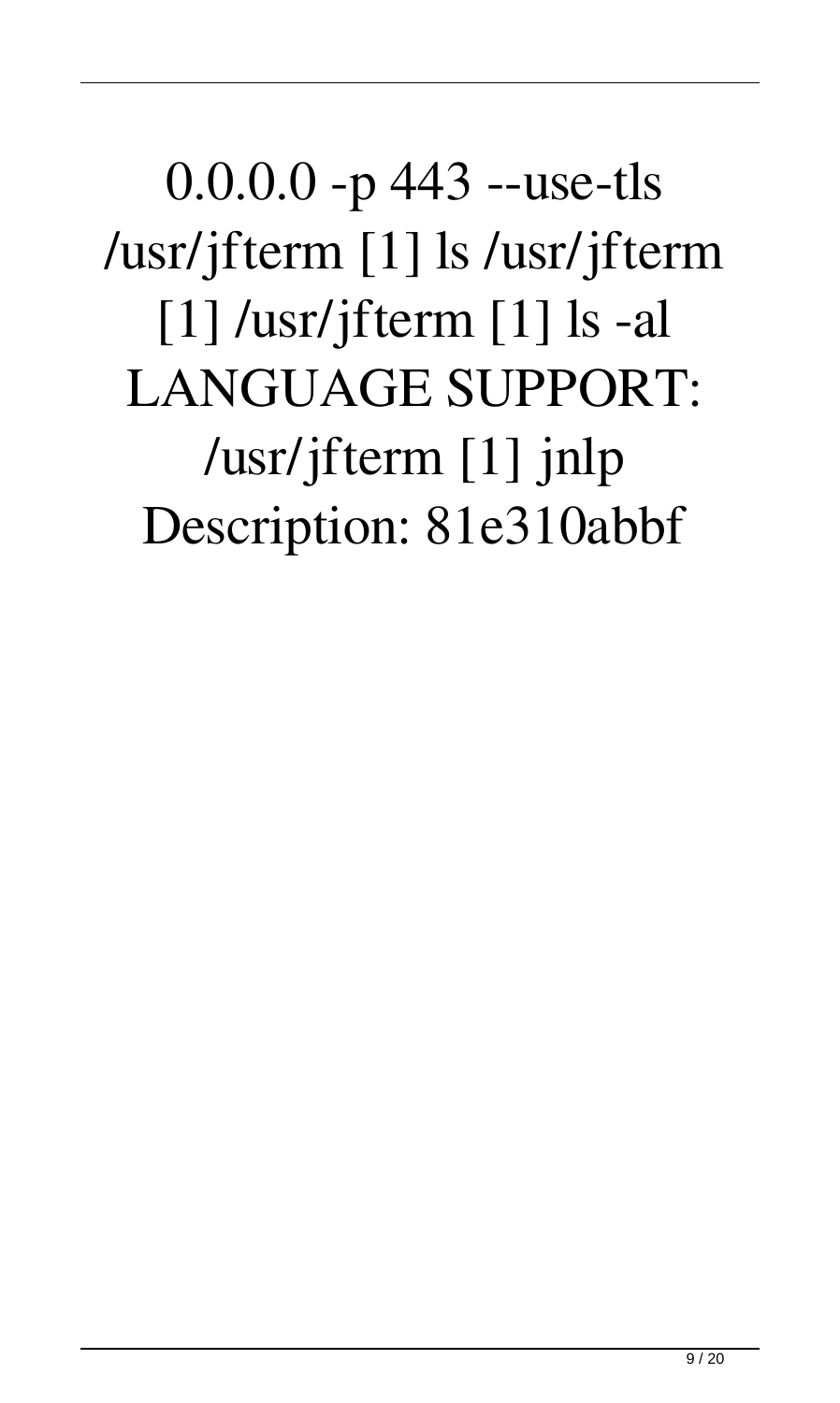0.0.0.0 -p 443 --use-tls /usr/jfterm [1] ls /usr/jfterm [1] /usr/jfterm [1] ls -al LANGUAGE SUPPORT: /usr/jfterm [1] jnlp Description: 81e310abbf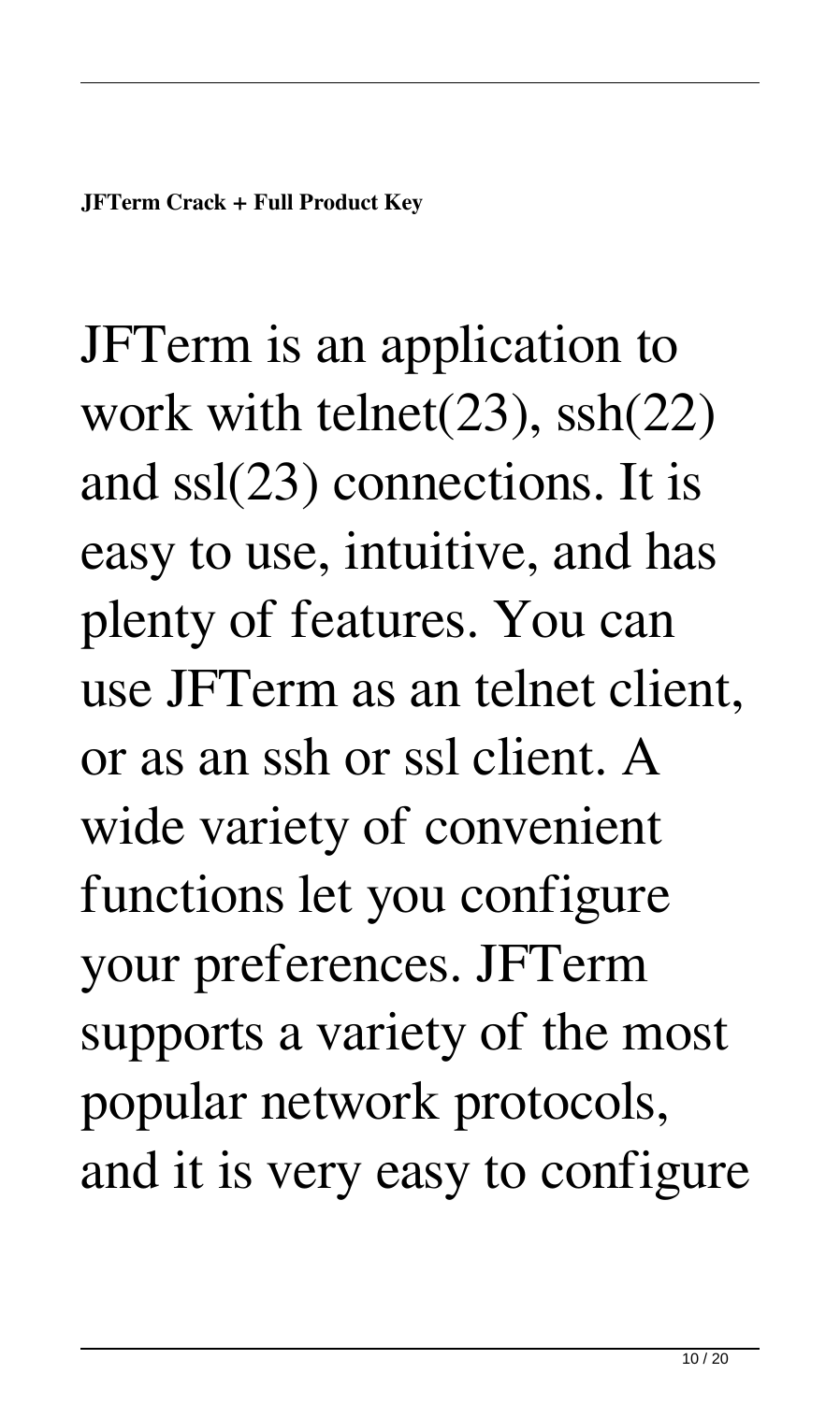JFTerm is an application to work with telnet(23), ssh(22) and ssl(23) connections. It is easy to use, intuitive, and has plenty of features. You can use JFTerm as an telnet client, or as an ssh or ssl client. A wide variety of convenient functions let you configure your preferences. JFTerm supports a variety of the most popular network protocols, and it is very easy to configure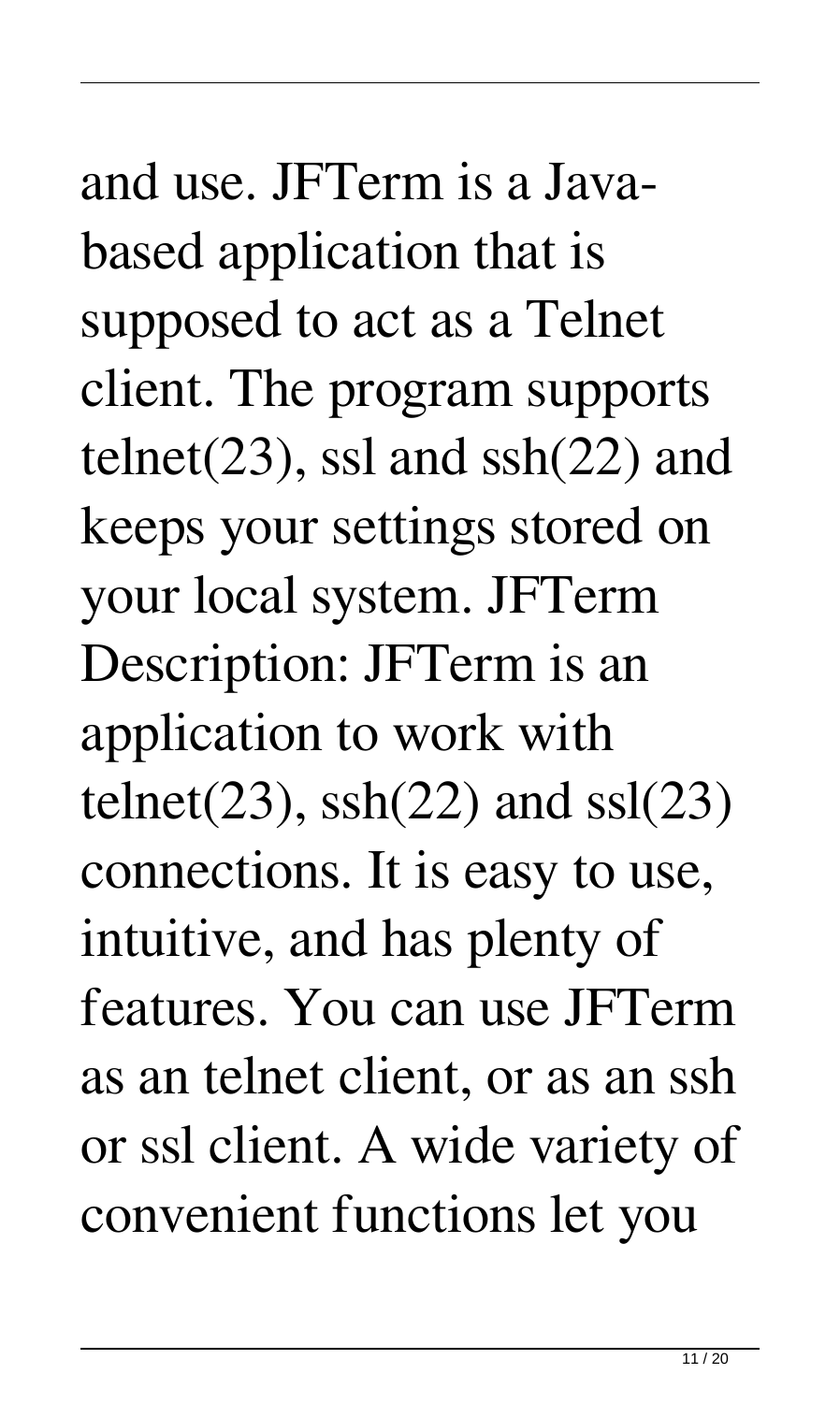and use. JFTerm is a Javabased application that is supposed to act as a Telnet client. The program supports telnet( $23$ ), ssl and ssh $(22)$  and keeps your settings stored on your local system. JFTerm Description: JFTerm is an application to work with telnet(23),  $\text{ssh}(22)$  and  $\text{ssl}(23)$ connections. It is easy to use, intuitive, and has plenty of features. You can use JFTerm as an telnet client, or as an ssh or ssl client. A wide variety of convenient functions let you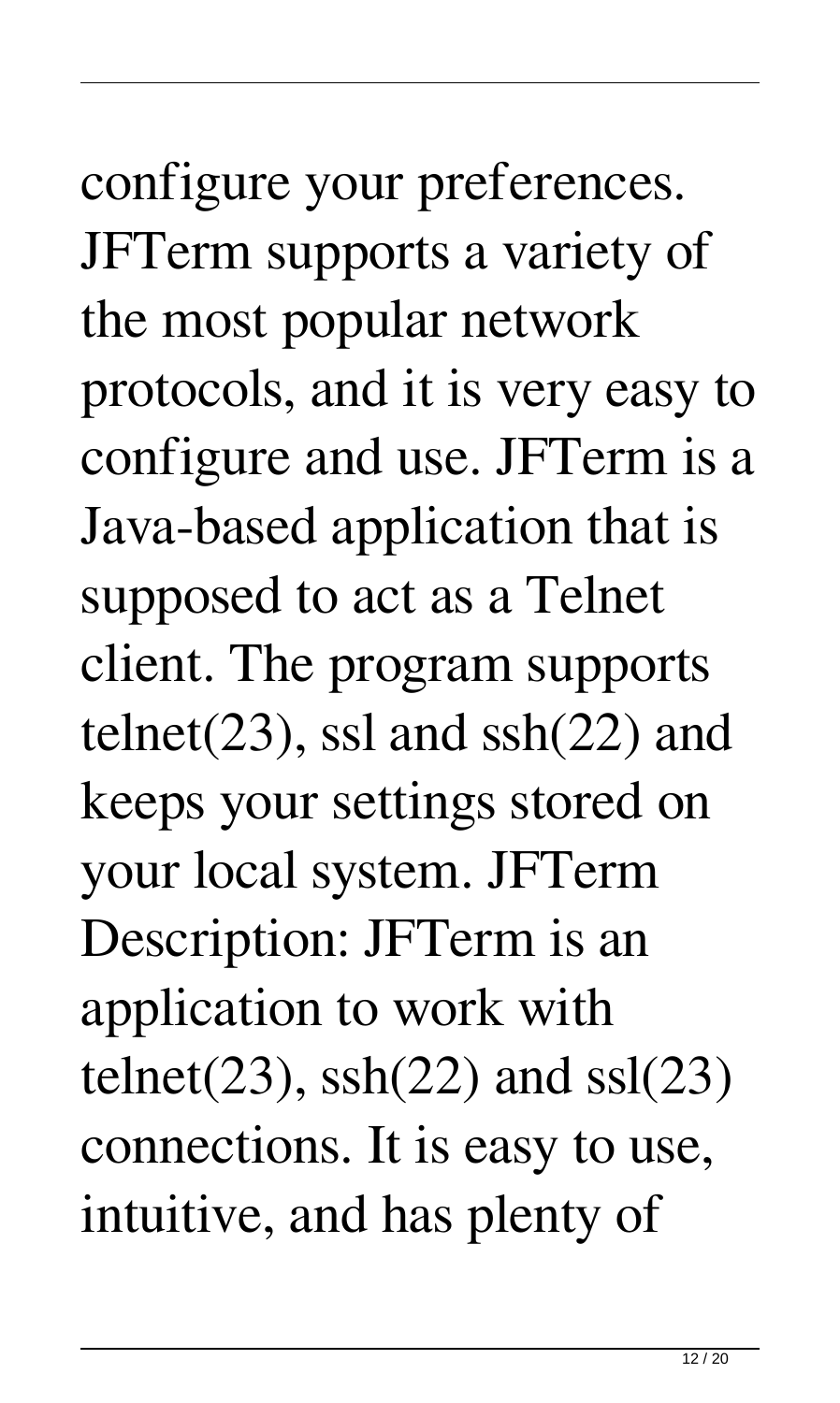configure your preferences. JFTerm supports a variety of the most popular network protocols, and it is very easy to configure and use. JFTerm is a Java-based application that is supposed to act as a Telnet client. The program supports telnet(23), ssl and  $\text{sh}(22)$  and keeps your settings stored on your local system. JFTerm Description: JFTerm is an application to work with telnet(23),  $\text{sh}(22)$  and  $\text{ssl}(23)$ connections. It is easy to use, intuitive, and has plenty of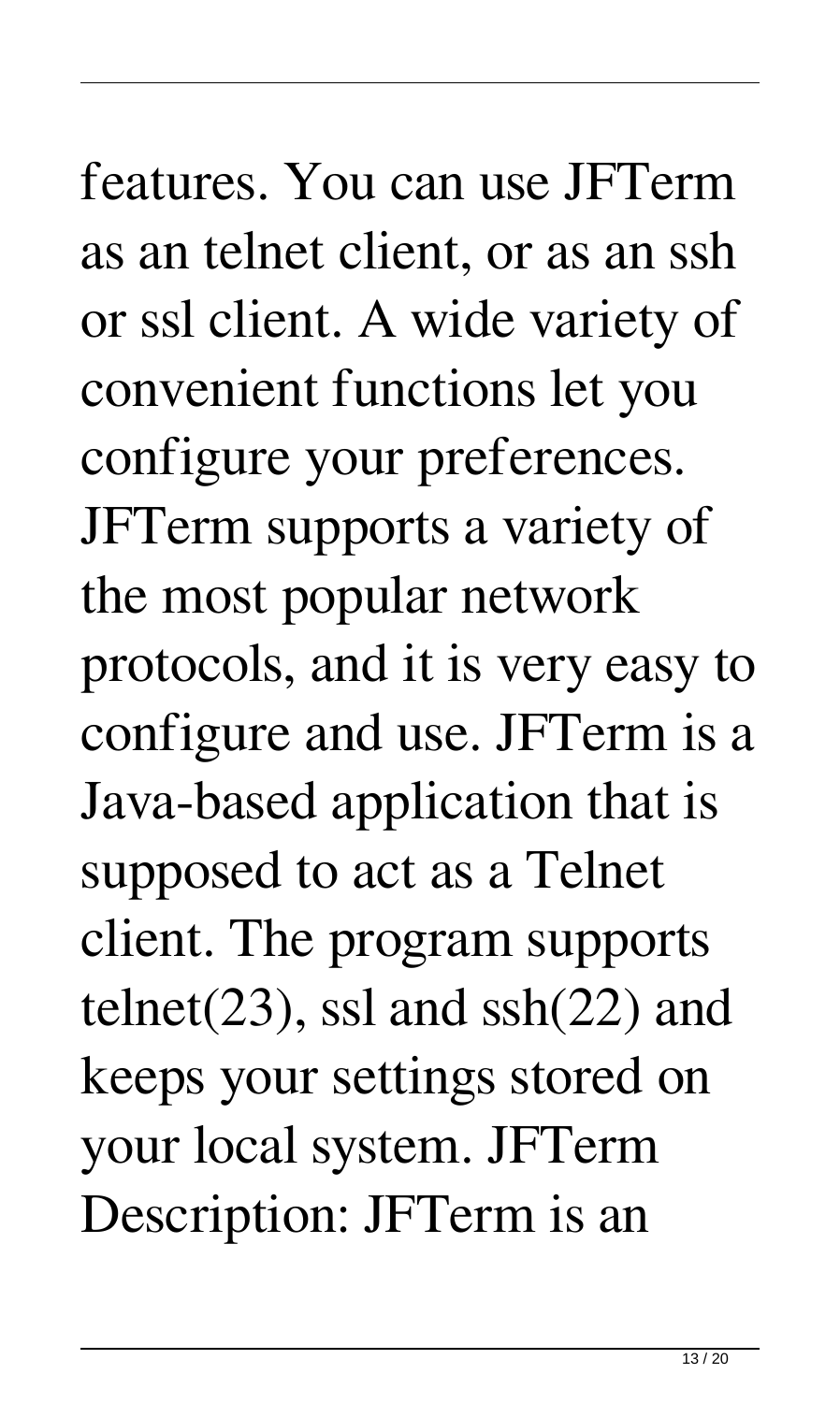features. You can use JFTerm as an telnet client, or as an ssh or ssl client. A wide variety of convenient functions let you configure your preferences. JFTerm supports a variety of the most popular network protocols, and it is very easy to configure and use. JFTerm is a Java-based application that is supposed to act as a Telnet client. The program supports telnet(23), ssl and  $\text{sh}(22)$  and keeps your settings stored on your local system. JFTerm Description: JFTerm is an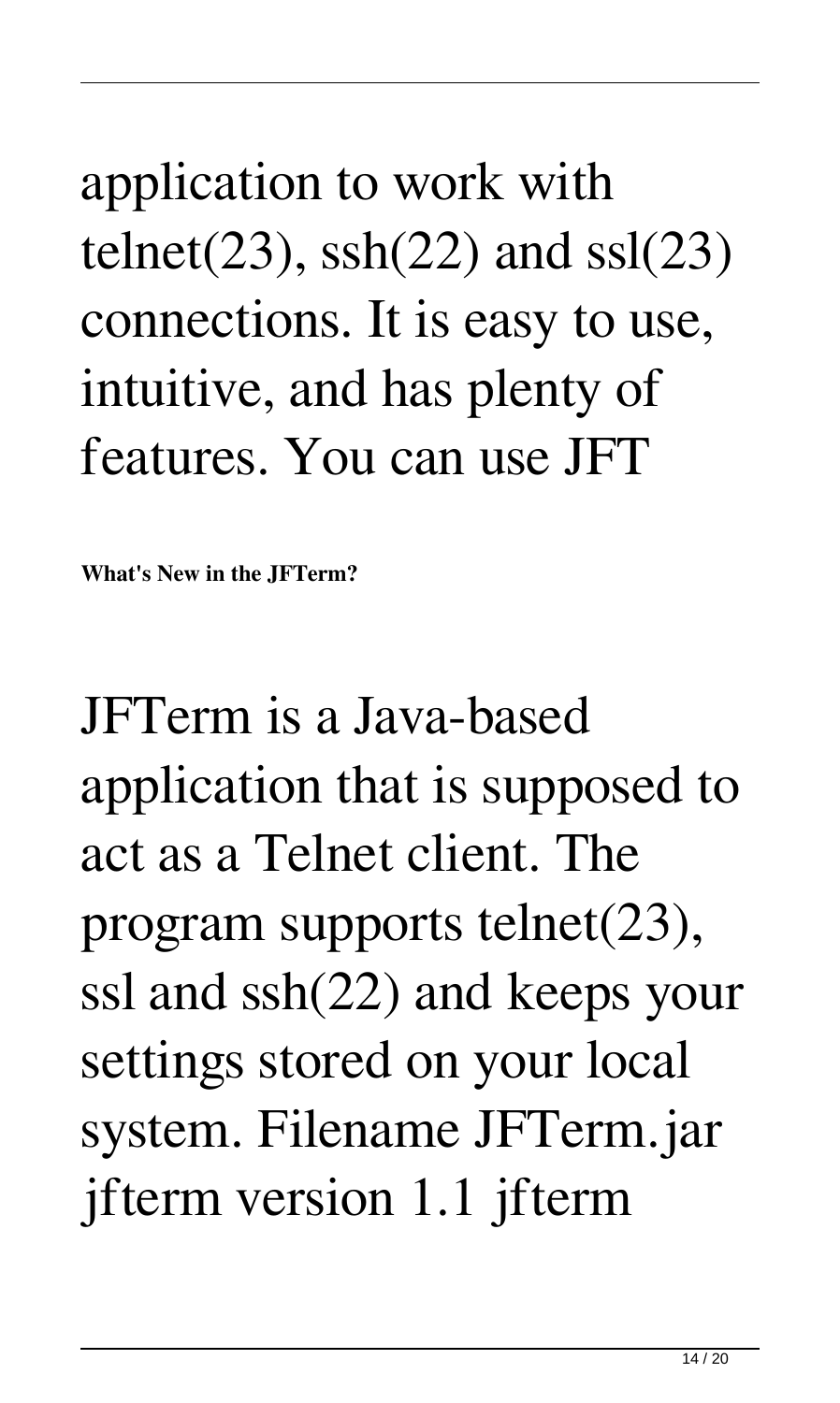application to work with telnet(23),  $\text{ssh}(22)$  and  $\text{ssl}(23)$ connections. It is easy to use, intuitive, and has plenty of features. You can use JFT

**What's New in the JFTerm?**

JFTerm is a Java-based application that is supposed to act as a Telnet client. The program supports telnet(23), ssl and ssh(22) and keeps your settings stored on your local system. Filename JFTerm.jar jfterm version 1.1 jfterm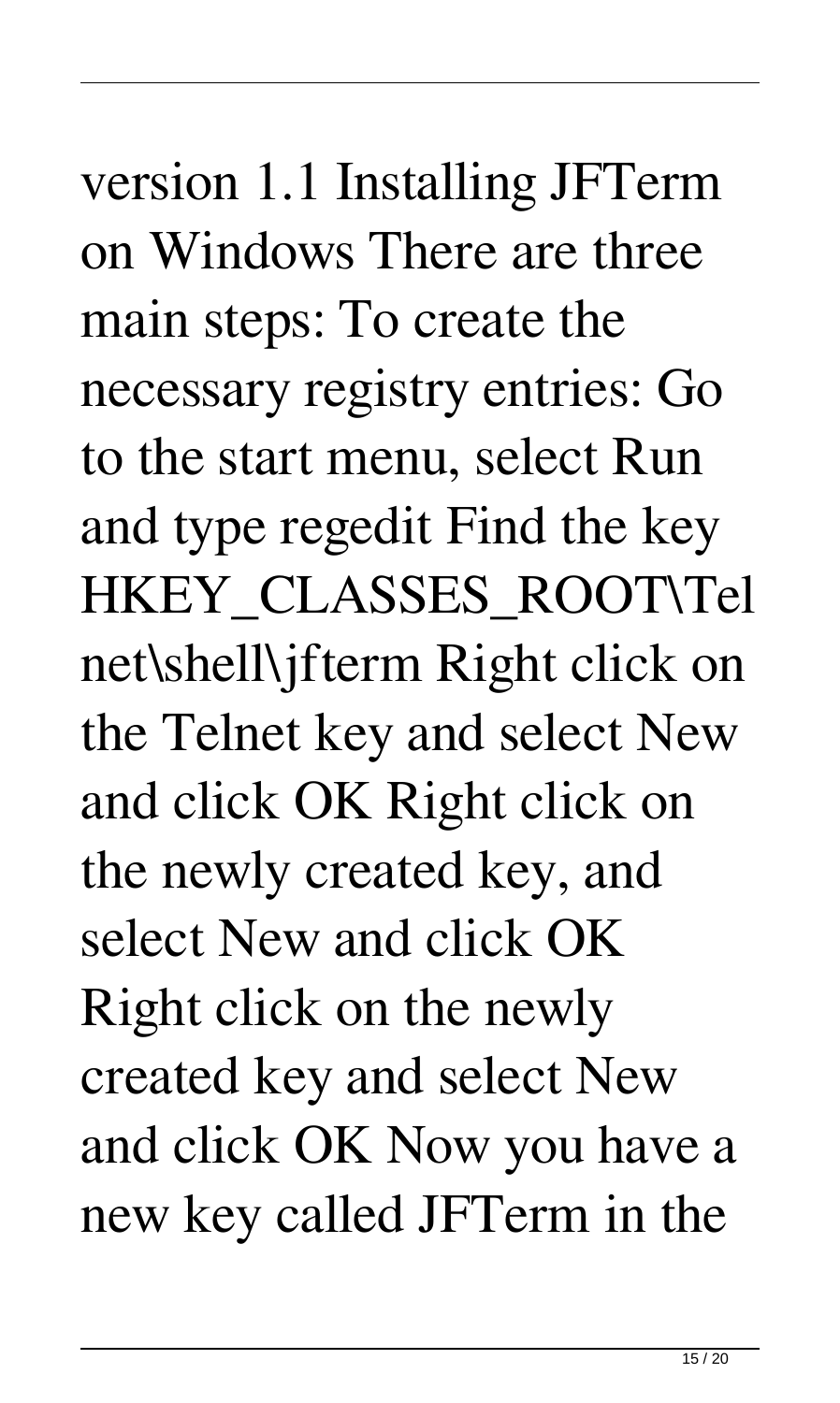version 1.1 Installing JFTerm on Windows There are three main steps: To create the necessary registry entries: Go to the start menu, select Run and type regedit Find the key HKEY\_CLASSES\_ROOT\Tel net\shell\jfterm Right click on the Telnet key and select New and click OK Right click on the newly created key, and select New and click OK Right click on the newly created key and select New and click OK Now you have a new key called JFTerm in the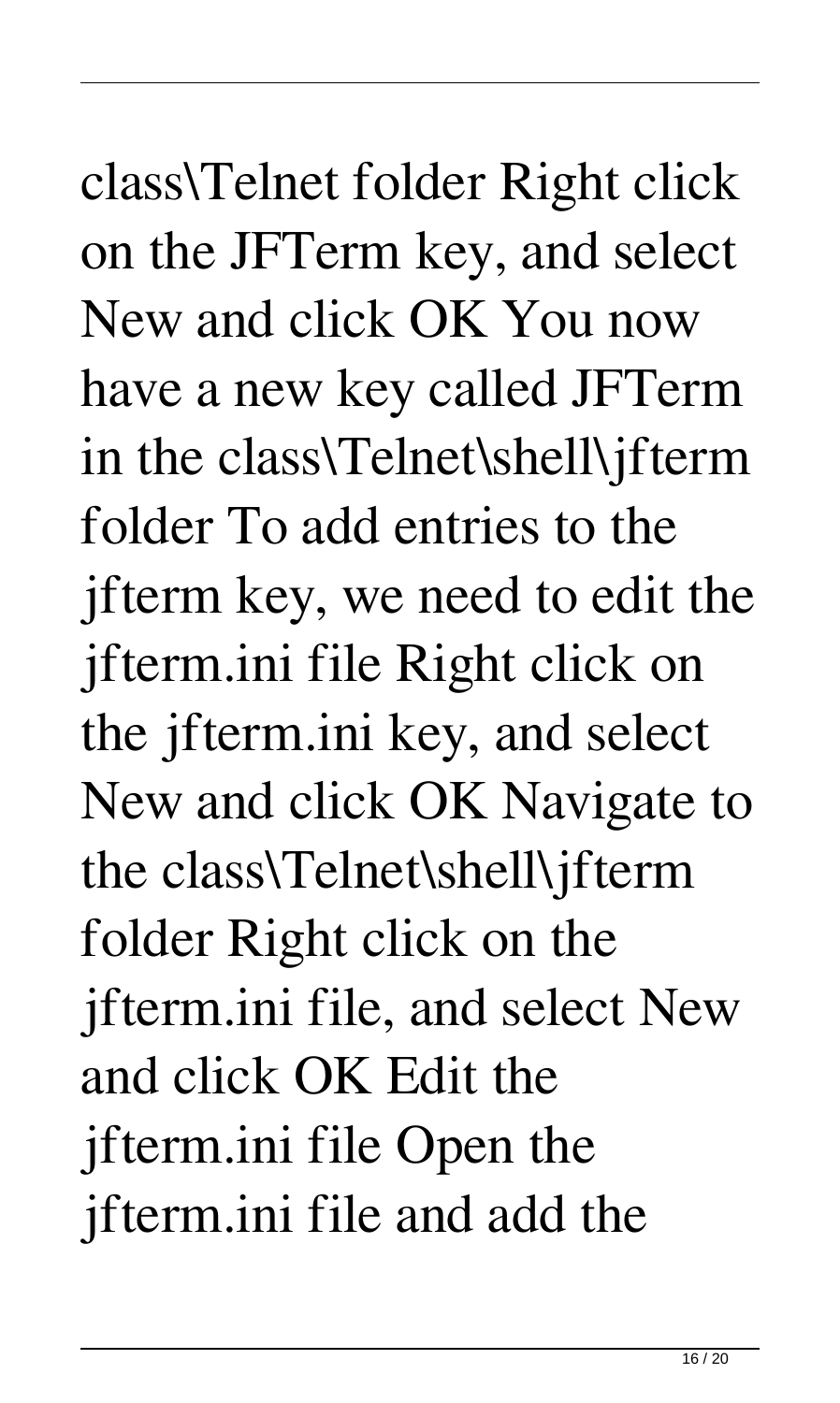class\Telnet folder Right click on the JFTerm key, and select New and click OK You now have a new key called JFTerm in the class\Telnet\shell\jfterm folder To add entries to the jfterm key, we need to edit the jfterm.ini file Right click on the jfterm.ini key, and select New and click OK Navigate to the class\Telnet\shell\jfterm folder Right click on the jfterm.ini file, and select New and click OK Edit the jfterm.ini file Open the jfterm.ini file and add the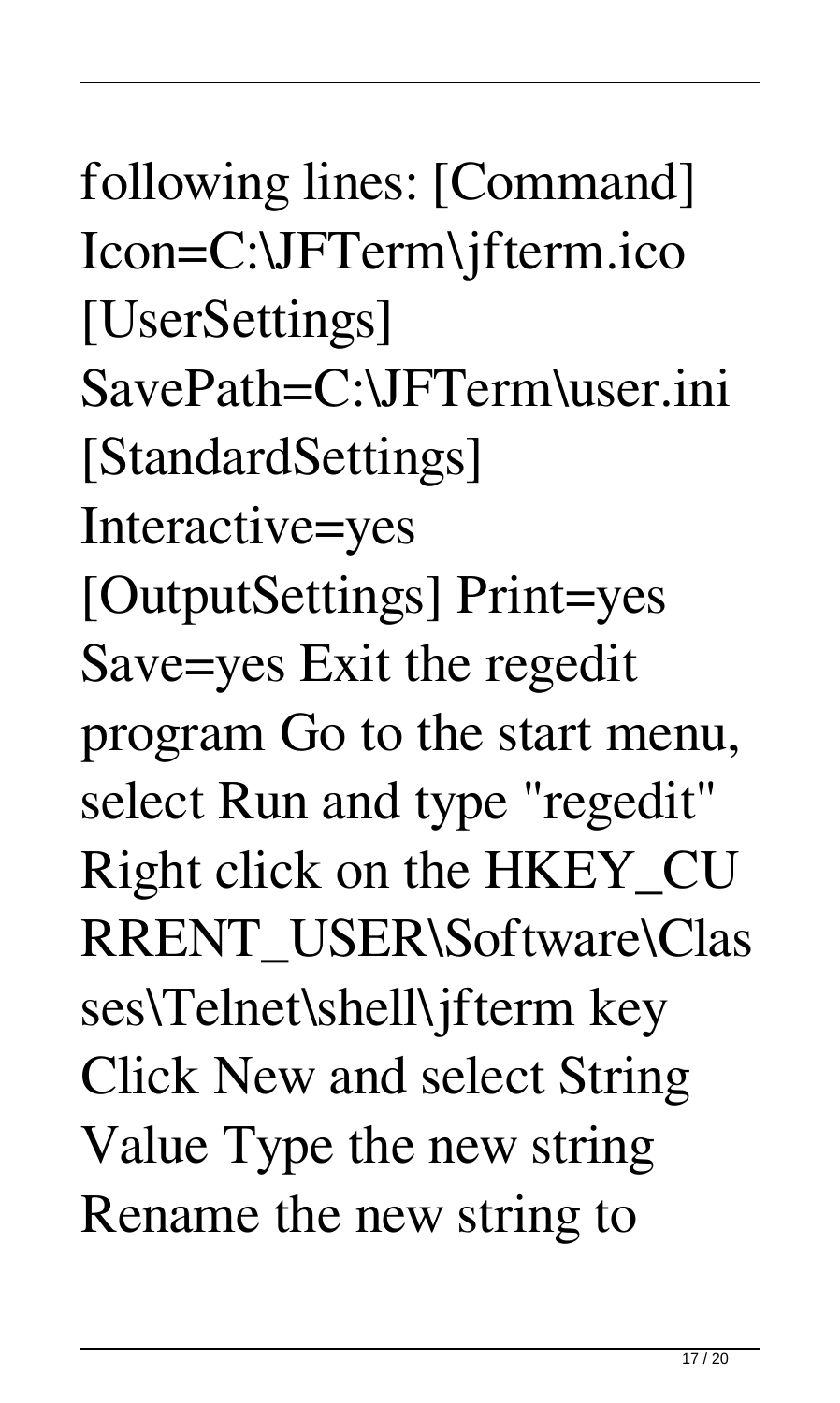following lines: [Command] Icon=C:\JFTerm\jfterm.ico [UserSettings] SavePath=C:\JFTerm\user.ini [StandardSettings] Interactive=yes [OutputSettings] Print=yes Save=yes Exit the regedit program Go to the start menu, select Run and type "regedit" Right click on the HKEY\_CU RRENT\_USER\Software\Clas ses\Telnet\shell\jfterm key Click New and select String Value Type the new string Rename the new string to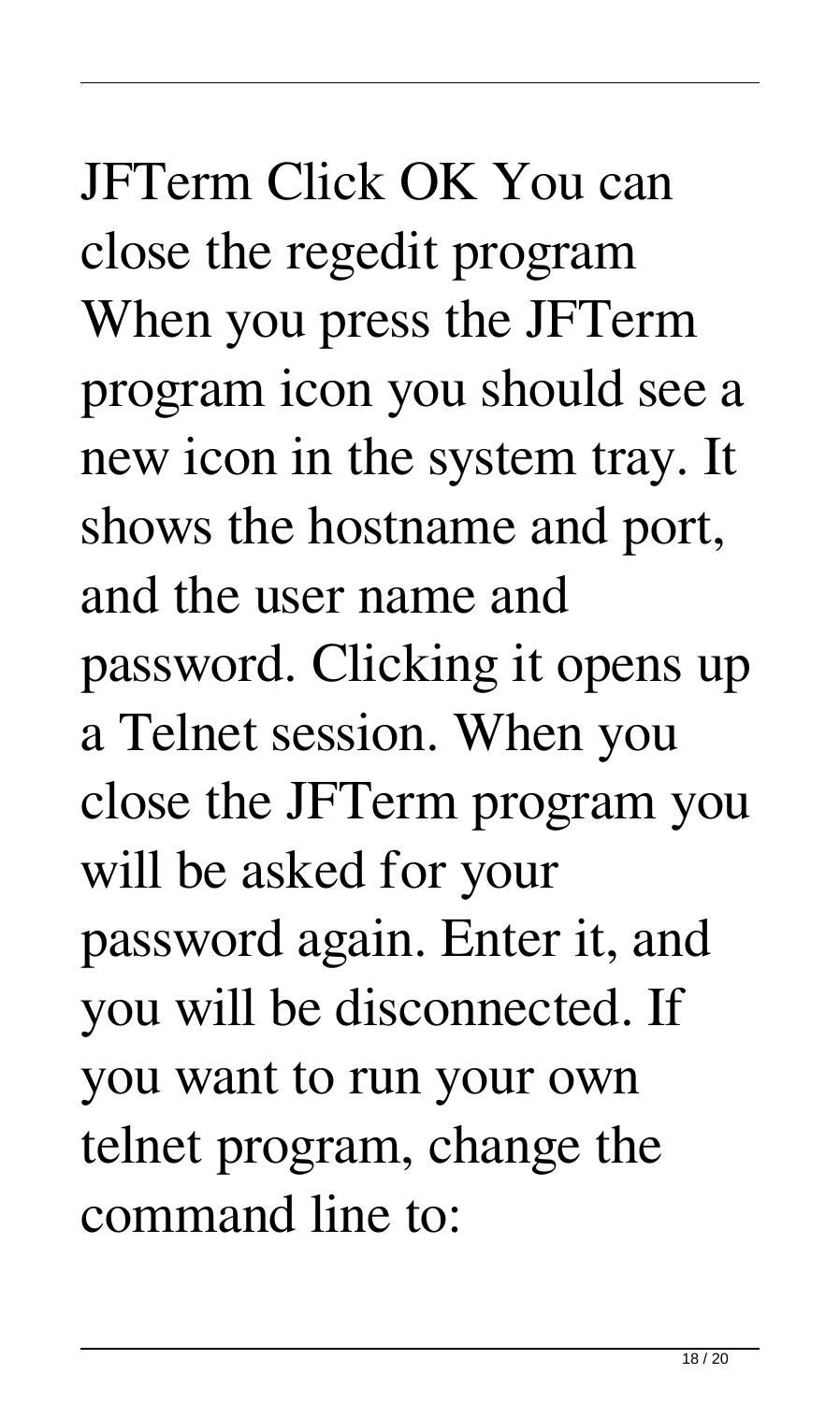# JFTerm Click OK You can close the regedit program When you press the JFTerm program icon you should see a new icon in the system tray. It shows the hostname and port, and the user name and password. Clicking it opens up a Telnet session. When you close the JFTerm program you will be asked for your password again. Enter it, and you will be disconnected. If you want to run your own telnet program, change the command line to: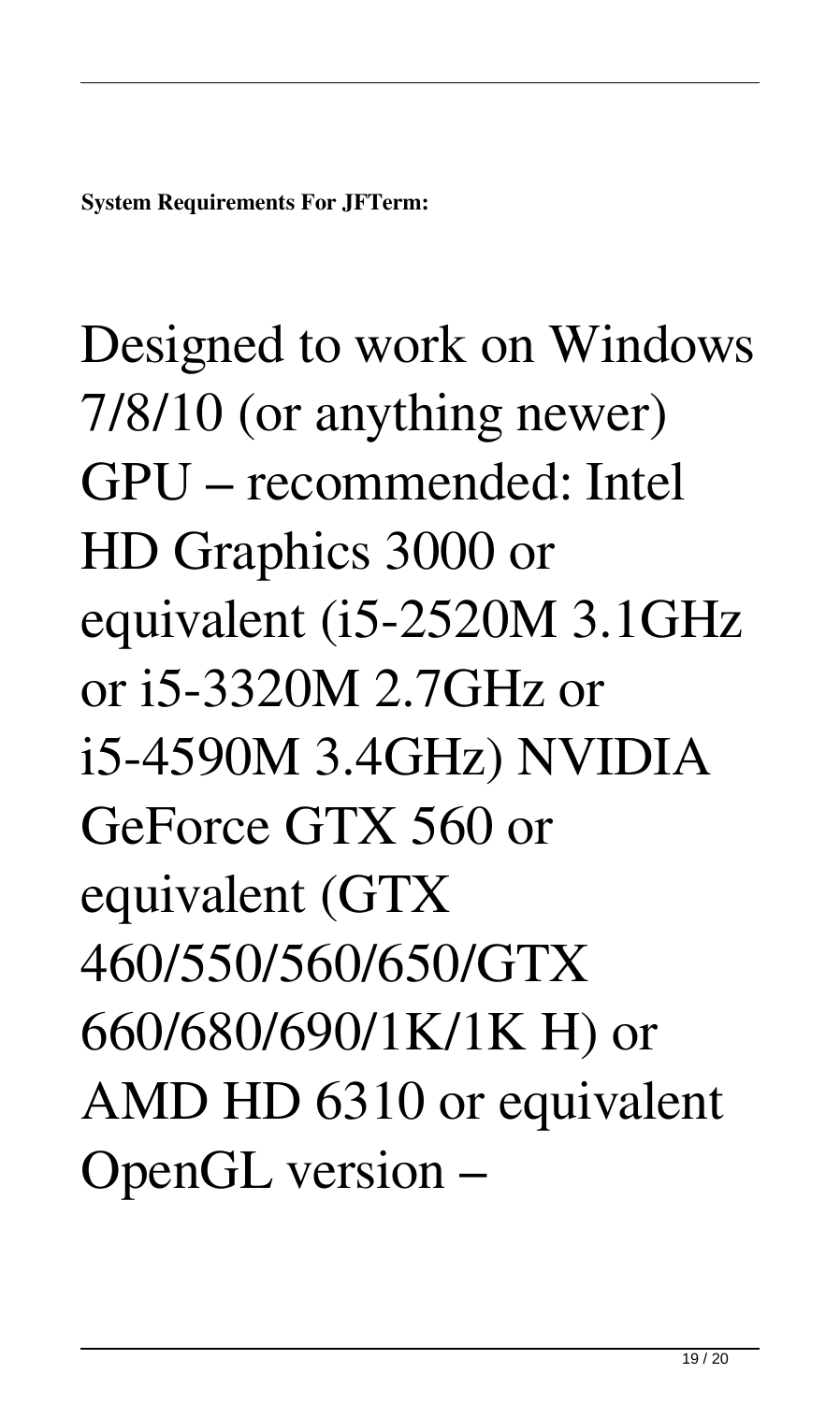Designed to work on Windows 7/8/10 (or anything newer) GPU – recommended: Intel HD Graphics 3000 or equivalent (i5-2520M 3.1GHz or i5-3320M 2.7GHz or i5-4590M 3.4GHz) NVIDIA GeForce GTX 560 or equivalent (GTX 460/550/560/650/GTX 660/680/690/1K/1K H) or AMD HD 6310 or equivalent OpenGL version –